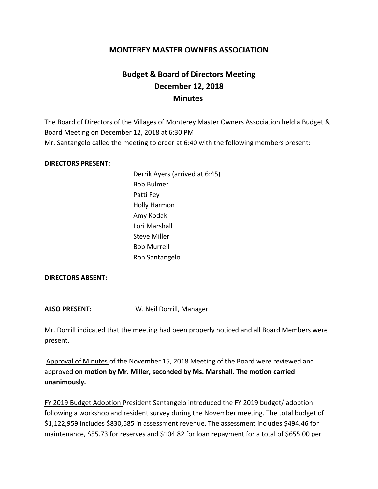## **MONTEREY MASTER OWNERS ASSOCIATION**

# **Budget & Board of Directors Meeting December 12, 2018 Minutes**

The Board of Directors of the Villages of Monterey Master Owners Association held a Budget & Board Meeting on December 12, 2018 at 6:30 PM Mr. Santangelo called the meeting to order at 6:40 with the following members present:

#### **DIRECTORS PRESENT:**

Derrik Ayers (arrived at 6:45) Bob Bulmer Patti Fey Holly Harmon Amy Kodak Lori Marshall Steve Miller Bob Murrell Ron Santangelo

#### **DIRECTORS ABSENT:**

**ALSO PRESENT:** W. Neil Dorrill, Manager

Mr. Dorrill indicated that the meeting had been properly noticed and all Board Members were present.

Approval of Minutes of the November 15, 2018 Meeting of the Board were reviewed and approved **on motion by Mr. Miller, seconded by Ms. Marshall. The motion carried unanimously.**

FY 2019 Budget Adoption President Santangelo introduced the FY 2019 budget/ adoption following a workshop and resident survey during the November meeting. The total budget of \$1,122,959 includes \$830,685 in assessment revenue. The assessment includes \$494.46 for maintenance, \$55.73 for reserves and \$104.82 for loan repayment for a total of \$655.00 per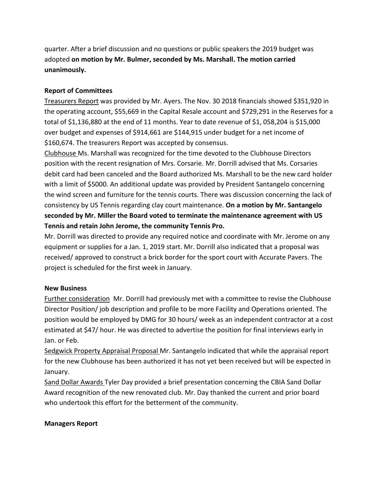quarter. After a brief discussion and no questions or public speakers the 2019 budget was adopted **on motion by Mr. Bulmer, seconded by Ms. Marshall. The motion carried unanimously.**

### **Report of Committees**

Treasurers Report was provided by Mr. Ayers. The Nov. 30 2018 financials showed \$351,920 in the operating account, \$55,669 in the Capital Resale account and \$729,291 in the Reserves for a total of \$1,136,880 at the end of 11 months. Year to date revenue of \$1, 058,204 is \$15,000 over budget and expenses of \$914,661 are \$144,915 under budget for a net income of \$160,674. The treasurers Report was accepted by consensus.

Clubhouse Ms. Marshall was recognized for the time devoted to the Clubhouse Directors position with the recent resignation of Mrs. Corsarie. Mr. Dorrill advised that Ms. Corsaries debit card had been canceled and the Board authorized Ms. Marshall to be the new card holder with a limit of \$5000. An additional update was provided by President Santangelo concerning the wind screen and furniture for the tennis courts. There was discussion concerning the lack of consistency by US Tennis regarding clay court maintenance. **On a motion by Mr. Santangelo seconded by Mr. Miller the Board voted to terminate the maintenance agreement with US Tennis and retain John Jerome, the community Tennis Pro.**

Mr. Dorrill was directed to provide any required notice and coordinate with Mr. Jerome on any equipment or supplies for a Jan. 1, 2019 start. Mr. Dorrill also indicated that a proposal was received/ approved to construct a brick border for the sport court with Accurate Pavers. The project is scheduled for the first week in January.

## **New Business**

Further consideration Mr. Dorrill had previously met with a committee to revise the Clubhouse Director Position/ job description and profile to be more Facility and Operations oriented. The position would be employed by DMG for 30 hours/ week as an independent contractor at a cost estimated at \$47/ hour. He was directed to advertise the position for final interviews early in Jan. or Feb.

Sedgwick Property Appraisal Proposal Mr. Santangelo indicated that while the appraisal report for the new Clubhouse has been authorized it has not yet been received but will be expected in January.

Sand Dollar Awards Tyler Day provided a brief presentation concerning the CBIA Sand Dollar Award recognition of the new renovated club. Mr. Day thanked the current and prior board who undertook this effort for the betterment of the community.

#### **Managers Report**